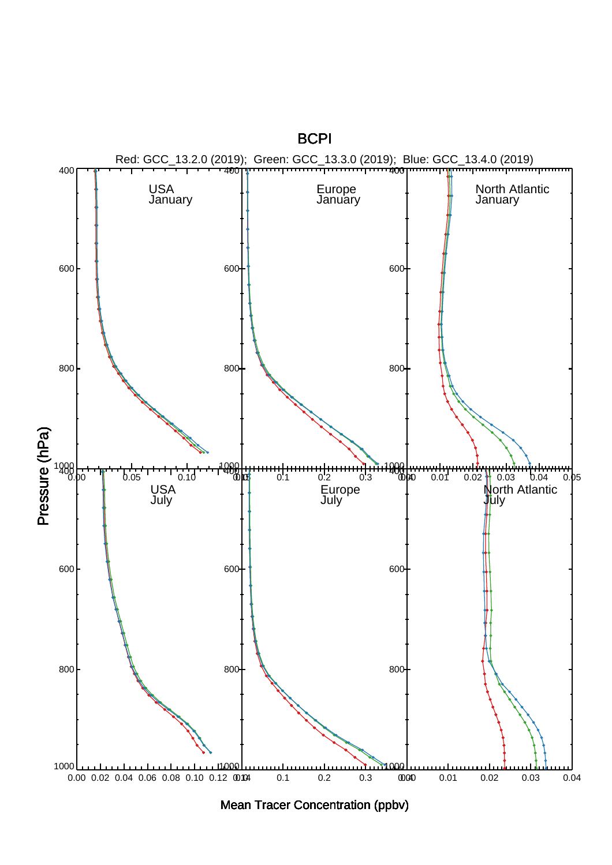**BCPI** 



Mean Tracer Concentration (ppbv)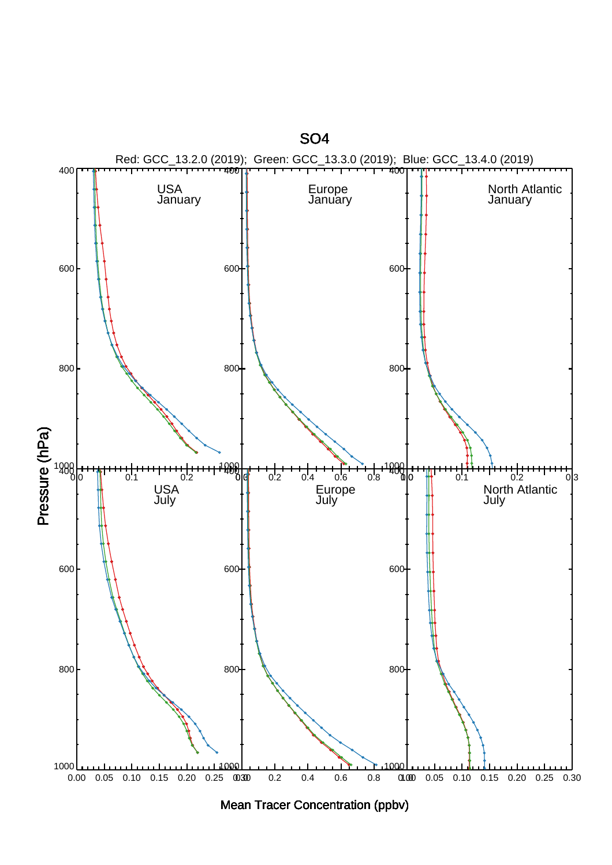

Mean Tracer Concentration (ppbv)

SO4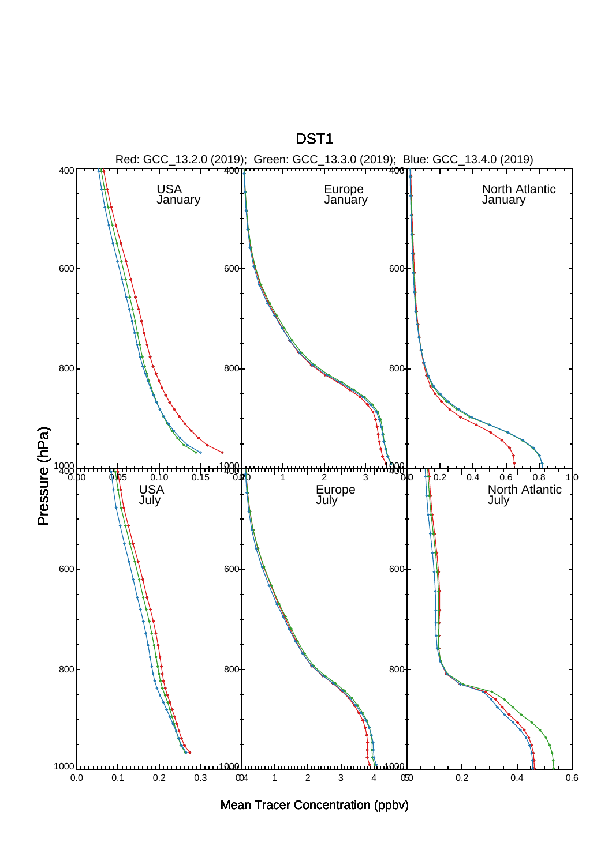

Mean Tracer Concentration (ppbv)

DST1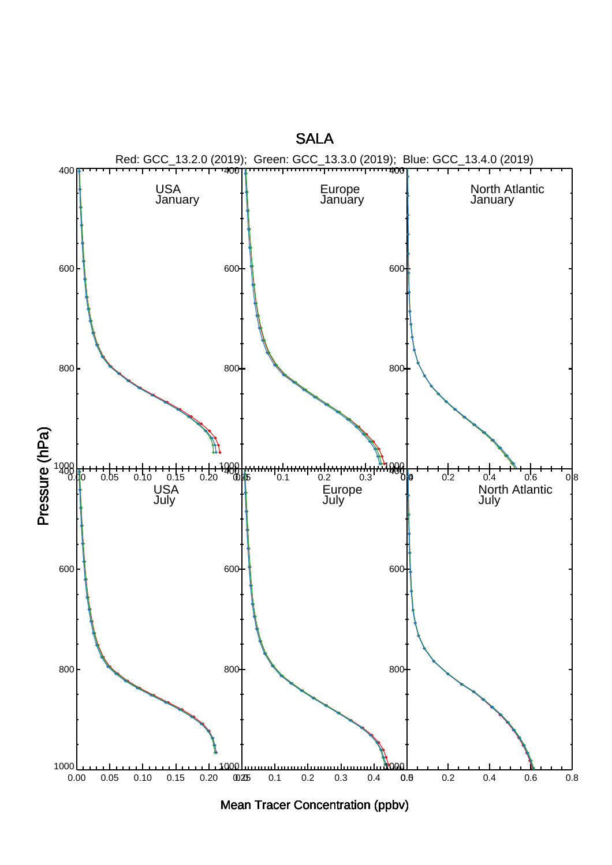

Mean Tracer Concentration (ppbv)

## **SALA**